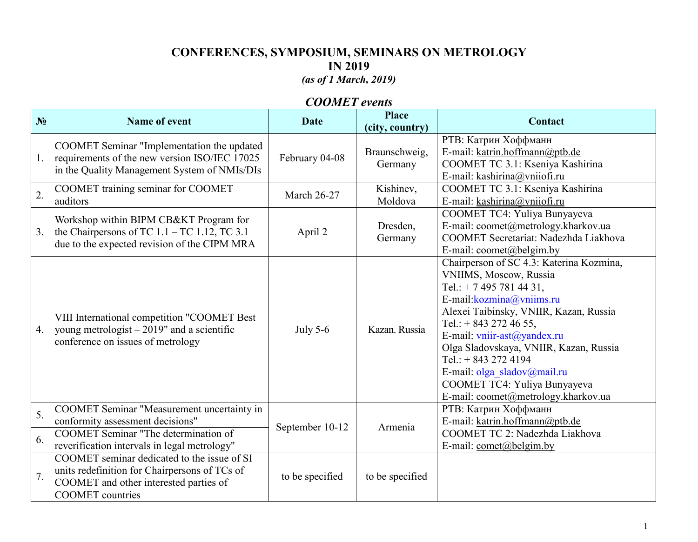# **CONFERENCES, SYMPOSIUM, SEMINARS ON METROLOGY IN 2019**

# *(as of 1 March, 2019)*

## *COOMET events*

| N <sub>2</sub>   | <b>Name of event</b>                                                                                                                                              | <b>Date</b>        | <b>Place</b><br>(city, country) | <b>Contact</b>                                                                                                                                                                                                                                                                                                                                                                                           |
|------------------|-------------------------------------------------------------------------------------------------------------------------------------------------------------------|--------------------|---------------------------------|----------------------------------------------------------------------------------------------------------------------------------------------------------------------------------------------------------------------------------------------------------------------------------------------------------------------------------------------------------------------------------------------------------|
| 1.               | COOMET Seminar "Implementation the updated<br>requirements of the new version ISO/IEC 17025<br>in the Quality Management System of NMIs/DIs                       | February 04-08     | Braunschweig,<br>Germany        | РТВ: Катрин Хоффманн<br>E-mail: katrin.hoffmann@ptb.de<br>COOMET TC 3.1: Kseniya Kashirina<br>E-mail: kashirina@vniiofi.ru                                                                                                                                                                                                                                                                               |
| $\overline{2}$ . | COOMET training seminar for COOMET<br>auditors                                                                                                                    | <b>March 26-27</b> | Kishinev,<br>Moldova            | COOMET TC 3.1: Kseniya Kashirina<br>E-mail: kashirina@vniiofi.ru                                                                                                                                                                                                                                                                                                                                         |
| 3.               | Workshop within BIPM CB&KT Program for<br>the Chairpersons of TC $1.1 - TC$ $1.12$ , TC 3.1<br>due to the expected revision of the CIPM MRA                       | April 2            | Dresden,<br>Germany             | COOMET TC4: Yuliya Bunyayeva<br>E-mail: coomet@metrology.kharkov.ua<br>COOMET Secretariat: Nadezhda Liakhova<br>E-mail: $\text{coomet}(\widehat{\omega})$ belgim.by                                                                                                                                                                                                                                      |
| 4.               | VIII International competition "COOMET Best<br>young metrologist $-2019$ " and a scientific<br>conference on issues of metrology                                  | <b>July 5-6</b>    | Kazan. Russia                   | Chairperson of SC 4.3: Katerina Kozmina,<br>VNIIMS, Moscow, Russia<br>Tel.: $+ 74957814431,$<br>E-mail: kozmina@vniims.ru<br>Alexei Taibinsky, VNIIR, Kazan, Russia<br>Tel.: $+$ 843 272 46 55,<br>E-mail: vniir-ast@yandex.ru<br>Olga Sladovskaya, VNIIR, Kazan, Russia<br>Tel.: $+ 843 272 4194$<br>E-mail: olga sladov@mail.ru<br>COOMET TC4: Yuliya Bunyayeva<br>E-mail: coomet@metrology.kharkov.ua |
| 5.               | COOMET Seminar "Measurement uncertainty in<br>conformity assessment decisions"<br><b>COOMET Seminar "The determination of</b>                                     | September 10-12    | Armenia                         | РТВ: Катрин Хоффманн<br>E-mail: katrin.hoffmann@ptb.de<br>COOMET TC 2: Nadezhda Liakhova                                                                                                                                                                                                                                                                                                                 |
| 6.               | reverification intervals in legal metrology"                                                                                                                      |                    |                                 | E-mail: comet@belgim.by                                                                                                                                                                                                                                                                                                                                                                                  |
| 7.               | COOMET seminar dedicated to the issue of SI<br>units redefinition for Chairpersons of TCs of<br>COOMET and other interested parties of<br><b>COOMET</b> countries | to be specified    | to be specified                 |                                                                                                                                                                                                                                                                                                                                                                                                          |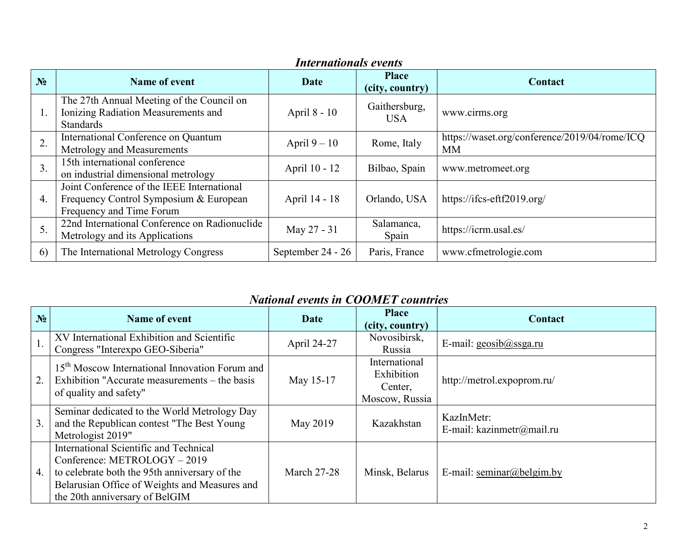| <i>Internationals events</i> |                                                                                                                  |                   |                                 |                                                     |  |
|------------------------------|------------------------------------------------------------------------------------------------------------------|-------------------|---------------------------------|-----------------------------------------------------|--|
| N <sub>2</sub>               | Name of event                                                                                                    | Date              | <b>Place</b><br>(city, country) | Contact                                             |  |
| 1.                           | The 27th Annual Meeting of the Council on<br>Ionizing Radiation Measurements and<br><b>Standards</b>             | April 8 - 10      | Gaithersburg,<br><b>USA</b>     | www.cirms.org                                       |  |
| 2.                           | International Conference on Quantum<br>Metrology and Measurements                                                | April $9-10$      | Rome, Italy                     | https://waset.org/conference/2019/04/rome/ICQ<br>МM |  |
| 3.                           | 15th international conference<br>on industrial dimensional metrology                                             | April 10 - 12     | Bilbao, Spain                   | www.metromeet.org                                   |  |
| 4.                           | Joint Conference of the IEEE International<br>Frequency Control Symposium & European<br>Frequency and Time Forum | April 14 - 18     | Orlando, USA                    | https://ifcs-eftf2019.org/                          |  |
| 5.                           | 22nd International Conference on Radionuclide<br>Metrology and its Applications                                  | May 27 - 31       | Salamanca,<br>Spain             | https://icrm.usal.es/                               |  |
| 6)                           | The International Metrology Congress                                                                             | September 24 - 26 | Paris, France                   | www.cfmetrologie.com                                |  |

#### *Internationals events*

# *National events in COOMET countries*

| N <sub>2</sub> | Name of event                                                                                                                                                                                              | Date               | <b>Place</b><br>(city, country)                          | Contact                                 |
|----------------|------------------------------------------------------------------------------------------------------------------------------------------------------------------------------------------------------------|--------------------|----------------------------------------------------------|-----------------------------------------|
| 1.             | XV International Exhibition and Scientific<br>Congress "Interexpo GEO-Siberia"                                                                                                                             | April 24-27        | Novosibirsk,<br>Russia                                   | E-mail: geosib@ssga.ru                  |
| 2.             | 15 <sup>th</sup> Moscow International Innovation Forum and<br>Exhibition "Accurate measurements – the basis<br>of quality and safety"                                                                      | May 15-17          | International<br>Exhibition<br>Center,<br>Moscow, Russia | http://metrol.expoprom.ru/              |
| 3.             | Seminar dedicated to the World Metrology Day<br>and the Republican contest "The Best Young<br>Metrologist 2019"                                                                                            | May 2019           | Kazakhstan                                               | KazInMetr:<br>E-mail: kazinmetr@mail.ru |
| 4.             | International Scientific and Technical<br>Conference: METROLOGY - 2019<br>to celebrate both the 95th anniversary of the<br>Belarusian Office of Weights and Measures and<br>the 20th anniversary of BelGIM | <b>March 27-28</b> | Minsk, Belarus                                           | E-mail: seminar@belgim.by               |